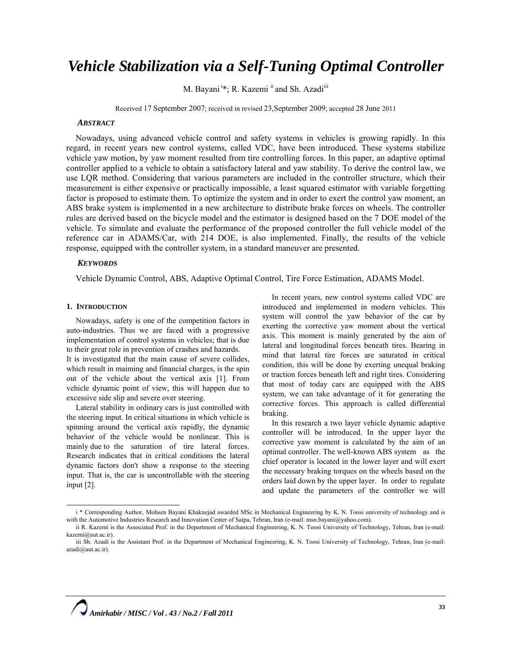# *Vehicle Stabilization via a Self-Tuning Optimal Controller*

M. Bayani<sup>i</sup>\*; R. Kazemi<sup>ii</sup> and Sh. Azadi<sup>iii</sup>

Received 17 September 2007; received in revised 23,September 2009; accepted 28 June 2011

## *ABSTRACT*

Nowadays, using advanced vehicle control and safety systems in vehicles is growing rapidly. In this regard, in recent years new control systems, called VDC, have been introduced. These systems stabilize vehicle yaw motion, by yaw moment resulted from tire controlling forces. In this paper, an adaptive optimal controller applied to a vehicle to obtain a satisfactory lateral and yaw stability. To derive the control law, we use LQR method. Considering that various parameters are included in the controller structure, which their measurement is either expensive or practically impossible, a least squared estimator with variable forgetting factor is proposed to estimate them. To optimize the system and in order to exert the control yaw moment, an ABS brake system is implemented in a new architecture to distribute brake forces on wheels. The controller rules are derived based on the bicycle model and the estimator is designed based on the 7 DOE model of the vehicle. To simulate and evaluate the performance of the proposed controller the full vehicle model of the reference car in ADAMS/Car, with 214 DOE, is also implemented. Finally, the results of the vehicle response, equipped with the controller system, in a standard maneuver are presented.

## *KEYWORDS*

Vehicle Dynamic Control, ABS, Adaptive Optimal Control, Tire Force Estimation, ADAMS Model.

#### **1. INTRODUCTION**

Nowadays, safety is one of the competition factors in auto-industries. Thus we are faced with a progressive implementation of control systems in vehicles; that is due to their great role in prevention of crashes and hazards.

It is investigated that the main cause of severe collides, which result in maiming and financial charges, is the spin out of the vehicle about the vertical axis [1]. From vehicle dynamic point of view, this will happen due to excessive side slip and severe over steering.

Lateral stability in ordinary cars is just controlled with the steering input. In critical situations in which vehicle is spinning around the vertical axis rapidly, the dynamic behavior of the vehicle would be nonlinear. This is mainly due to the saturation of tire lateral forces. Research indicates that in critical conditions the lateral dynamic factors don't show a response to the steering input. That is, the car is uncontrollable with the steering input [2].

In recent years, new control systems called VDC are introduced and implemented in modern vehicles. This system will control the yaw behavior of the car by exerting the corrective yaw moment about the vertical axis. This moment is mainly generated by the aim of lateral and longitudinal forces beneath tires. Bearing in mind that lateral tire forces are saturated in critical condition, this will be done by exerting unequal braking or traction forces beneath left and right tires. Considering that most of today cars are equipped with the ABS system, we can take advantage of it for generating the corrective forces. This approach is called differential braking.

In this research a two layer vehicle dynamic adaptive controller will be introduced. In the upper layer the corrective yaw moment is calculated by the aim of an optimal controller. The well-known ABS system as the chief operator is located in the lower layer and will exert the necessary braking torques on the wheels based on the orders laid down by the upper layer. In order to regulate and update the parameters of the controller we will

i \* Corresponding Author, Mohsen Bayani Khaknejad awarded MSc in Mechanical Engineering by K. N. Toosi university of technology and is with the Automotive Industries Research and Innovation Center of Saipa, Tehran, Iran (e-mail: msn.bayani@yahoo.com).

ii R. Kazemi is the Associated Prof. in the Department of Mechanical Engineering, K. N. Toosi University of Technology, Tehran, Iran (e-mail: kazemi@aut.ac.ir).

iii Sh. Azadi is the Assistant Prof. in the Department of Mechanical Engineering, K. N. Toosi University of Technology, Tehran, Iran (e-mail: azadi@aut.ac.ir).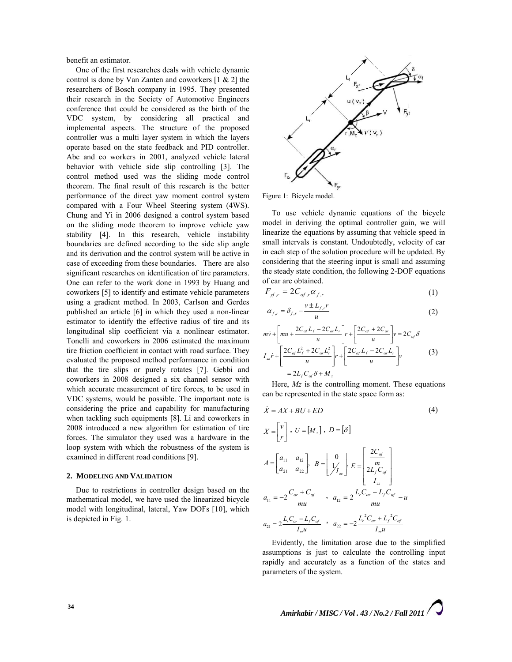benefit an estimator.

One of the first researches deals with vehicle dynamic control is done by Van Zanten and coworkers [1 & 2] the researchers of Bosch company in 1995. They presented their research in the Society of Automotive Engineers conference that could be considered as the birth of the VDC system, by considering all practical and implemental aspects. The structure of the proposed controller was a multi layer system in which the layers operate based on the state feedback and PID controller. Abe and co workers in 2001, analyzed vehicle lateral behavior with vehicle side slip controlling [3]. The control method used was the sliding mode control theorem. The final result of this research is the better performance of the direct yaw moment control system compared with a Four Wheel Steering system (4WS). Chung and Yi in 2006 designed a control system based on the sliding mode theorem to improve vehicle yaw stability [4]. In this research, vehicle instability boundaries are defined according to the side slip angle and its derivation and the control system will be active in case of exceeding from these boundaries. There are also significant researches on identification of tire parameters. One can refer to the work done in 1993 by Huang and coworkers [5] to identify and estimate vehicle parameters using a gradient method. In 2003, Carlson and Gerdes published an article [6] in which they used a non-linear estimator to identify the effective radius of tire and its longitudinal slip coefficient via a nonlinear estimator. Tonelli and coworkers in 2006 estimated the maximum tire friction coefficient in contact with road surface. They evaluated the proposed method performance in condition that the tire slips or purely rotates [7]. Gebbi and coworkers in 2008 designed a six channel sensor with which accurate measurement of tire forces, to be used in VDC systems, would be possible. The important note is considering the price and capability for manufacturing when tackling such equipments [8]. Li and coworkers in 2008 introduced a new algorithm for estimation of tire forces. The simulator they used was a hardware in the loop system with which the robustness of the system is examined in different road conditions [9].

#### **2. MODELING AND VALIDATION**

Due to restrictions in controller design based on the mathematical model, we have used the linearized bicycle model with longitudinal, lateral, Yaw DOFs [10], which is depicted in Fig. 1.



Figure 1: Bicycle model.

To use vehicle dynamic equations of the bicycle model in deriving the optimal controller gain, we will linearize the equations by assuming that vehicle speed in small intervals is constant. Undoubtedly, velocity of car in each step of the solution procedure will be updated. By considering that the steering input is small and assuming the steady state condition, the following 2-DOF equations of car are obtained.

$$
F_{\mathit{yf},r} = 2C_{\mathit{af},r} \alpha_{f,r} \tag{1}
$$

$$
\alpha_{f,r} = \delta_{f,r} - \frac{v \pm L_{f,r}r}{u} \tag{2}
$$

$$
m\dot{v} + \left[mu + \frac{2C_{\alpha f}L_f - 2C_{\alpha r}L_r}{u}\right]r + \left[\frac{2C_{\alpha f} + 2C_{\alpha r}}{u}\right]v = 2C_{\alpha f}\delta
$$
  

$$
I_{zz}\dot{r} + \left[\frac{2C_{\alpha f}L_f^2 + 2C_{\alpha r}L_r^2}{u}\right]r + \left[\frac{2C_{\alpha f}L_f - 2C_{\alpha r}L_r}{u}\right]v
$$
(3)  

$$
= 2L_fC_{\alpha f}\delta + M_z
$$

Here, *Mz* is the controlling moment. These equations can be represented in the state space form as:

$$
\dot{X} = AX + BU + ED \tag{4}
$$

$$
X = \begin{bmatrix} v \\ r \end{bmatrix}, U = [M_z], D = [\delta]
$$
  
\n
$$
A = \begin{bmatrix} a_{11} & a_{12} \\ a_{21} & a_{22} \end{bmatrix}, B = \begin{bmatrix} 0 \\ 1 / I_{zz} \end{bmatrix}, E = \begin{bmatrix} \frac{2C_{\text{of}}}{m} \\ \frac{2L_f C_{\text{of}}}{I_{zz}} \end{bmatrix}
$$
  
\n
$$
a_{11} = -2 \frac{C_{\text{or}} + C_{\text{of}}}{mu}, a_{12} = 2 \frac{L_r C_{\text{or}} - L_f C_{\text{of}}}{mu} - u
$$
  
\n
$$
a_{21} = 2 \frac{L_r C_{\text{or}} - L_f C_{\text{of}}}{I_{zz}} , a_{22} = -2 \frac{L_r^2 C_{\text{or}} + L_f^2 C_{\text{of}}}{I_{zz}} \end{bmatrix}
$$

Evidently, the limitation arose due to the simplified assumptions is just to calculate the controlling input rapidly and accurately as a function of the states and parameters of the system.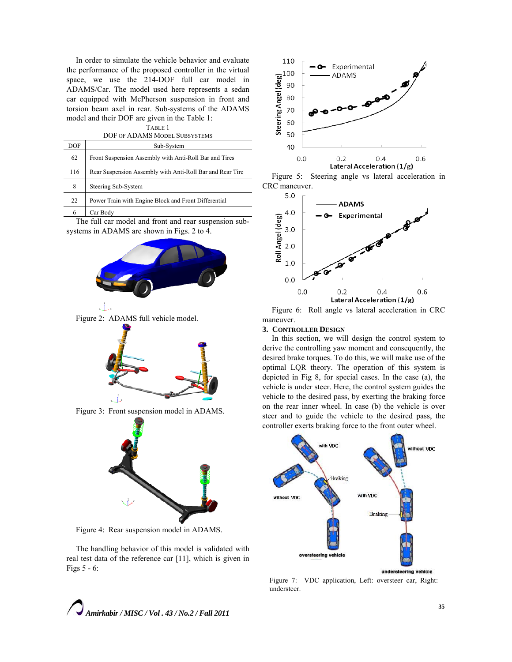In order to simulate the vehicle behavior and evaluate the performance of the proposed controller in the virtual space, we use the 214-DOF full car model in ADAMS/Car. The model used here represents a sedan car equipped with McPherson suspension in front and torsion beam axel in rear. Sub-systems of the ADAMS model and their DOF are given in the Table 1: TABLE 1

| .                             |
|-------------------------------|
| DOF OF ADAMS MODEL SUBSYSTEMS |

| DOF | Sub-System                                                |
|-----|-----------------------------------------------------------|
| 62  | Front Suspension Assembly with Anti-Roll Bar and Tires    |
| 116 | Rear Suspension Assembly with Anti-Roll Bar and Rear Tire |
| 8   | Steering Sub-System                                       |
| 22  | Power Train with Engine Block and Front Differential      |
| 6   | Car Body                                                  |

The full car model and front and rear suspension subsystems in ADAMS are shown in Figs. 2 to 4.



Figure 2: ADAMS full vehicle model.



Figure 3: Front suspension model in ADAMS.



Figure 4: Rear suspension model in ADAMS.

The handling behavior of this model is validated with real test data of the reference car [11], which is given in Figs 5 - 6:



Figure 5: Steering angle vs lateral acceleration in CRC maneuver.



Figure 6: Roll angle vs lateral acceleration in CRC maneuver.

#### **3. CONTROLLER DESIGN**

In this section, we will design the control system to derive the controlling yaw moment and consequently, the desired brake torques. To do this, we will make use of the optimal LQR theory. The operation of this system is depicted in Fig 8, for special cases. In the case (a), the vehicle is under steer. Here, the control system guides the vehicle to the desired pass, by exerting the braking force on the rear inner wheel. In case (b) the vehicle is over steer and to guide the vehicle to the desired pass, the controller exerts braking force to the front outer wheel.



Figure 7: VDC application, Left: oversteer car, Right: understeer.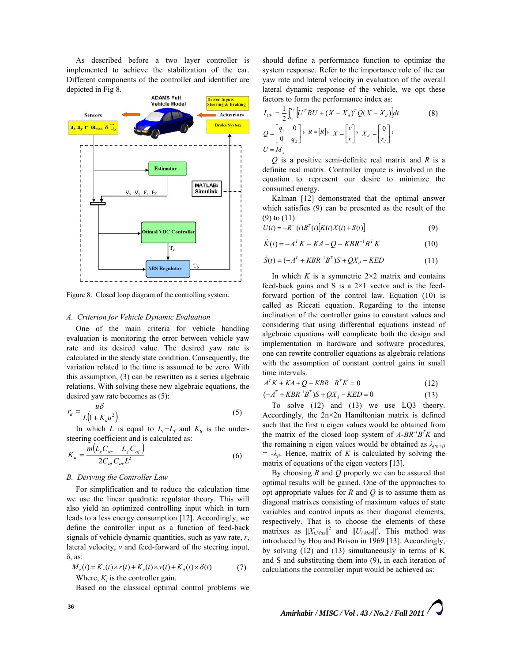As described before a two layer controller is implemented to achieve the stabilization of the car. Different components of the controller and identifier are depicted in Fig 8.



Figure 8: Closed loop diagram of the controlling system.

#### *A. Criterion for Vehicle Dynamic Evaluation*

One of the main criteria for vehicle handling evaluation is monitoring the error between vehicle yaw rate and its desired value. The desired yaw rate is calculated in the steady state condition. Consequently, the variation related to the time is assumed to be zero. With this assumption, (3) can be rewritten as a series algebraic relations. With solving these new algebraic equations, the desired yaw rate becomes as (5):

$$
r_d = \frac{u\delta}{L(1 + K_u u^2)}
$$
\n(5)

In which *L* is equal to  $L_r + L_f$  and  $K_u$  is the understeering coefficient and is calculated as:

$$
K_u = \frac{m(L_r C_{\alpha r} - L_f C_{\alpha f})}{2C_{\alpha f} C_{\alpha r} L^2}
$$
\n(6)

## *B. Deriving the Controller Law*

For simplification and to reduce the calculation time we use the linear quadratic regulator theory. This will also yield an optimized controlling input which in turn leads to a less energy consumption [12]. Accordingly, we define the controller input as a function of feed-back signals of vehicle dynamic quantities, such as yaw rate, *r*, lateral velocity, *v* and feed-forward of the steering input, δ,.as:

$$
M_z(t) = K_r(t) \times r(t) + K_v(t) \times v(t) + K_\delta(t) \times \delta(t)
$$
\nWhere,  $K_i$  is the controller gain.

\n(7)

Based on the classical optimal control problems we

should define a performance function to optimize the system response. Refer to the importance role of the car yaw rate and lateral velocity in evaluation of the overall lateral dynamic response of the vehicle, we opt these factors to form the performance index as:

$$
I_{CF} = \frac{1}{2} \int_{t_0}^{t_f} \left[ U^T R U + (X - X_d)^T Q (X - X_d) \right] dt
$$
\n
$$
Q = \begin{bmatrix} q_1 & 0 \\ 0 & q_2 \end{bmatrix}, \ R = [R], \ X = \begin{bmatrix} v \\ r \end{bmatrix}, \ X_d = \begin{bmatrix} 0 \\ r_d \end{bmatrix},
$$
\n
$$
U = M_z
$$
\n(8)

*Q* is a positive semi-definite real matrix and *R* is a definite real matrix. Controller impute is involved in the equation to represent our desire to minimize the consumed energy.

Kalman [12] demonstrated that the optimal answer which satisfies (9) can be presented as the result of the (9) to (11):

$$
U(t) = -R^{-1}(t)B^{T}(t)[K(t)X(t) + S(t)]
$$
\n(9)

$$
\dot{K}(t) = -A^{T} K - K A - Q + K B R^{-1} B^{T} K \qquad (10)
$$

$$
\dot{S}(t) = (-A^{T} + KBR^{-1}B^{T})S + QX_{d} - KED
$$
\n(11)

In which  $K$  is a symmetric  $2 \times 2$  matrix and contains feed-back gains and S is a  $2\times1$  vector and is the feedforward portion of the control law. Equation (10) is called as Riccati equation. Regarding to the intense inclination of the controller gains to constant values and considering that using differential equations instead of algebraic equations will complicate both the design and implementation in hardware and software procedures, one can rewrite controller equations as algebraic relations with the assumption of constant control gains in small time intervals.

$$
A^T K + K A + Q - K B R^{-1} B^T K = 0 \tag{12}
$$

$$
(-AT + KBR-1BT)S + QXd - KED = 0
$$
 (13)

To solve (12) and (13) we use LQ3 theory. Accordingly, the 2n×2n Hamiltonian matrix is defined such that the first n eigen values would be obtained from the matrix of the closed loop system of  $A-BR^{-1}B^{T}K$  and the remaining n eigen values would be obtained as  $\lambda_{j(n+i)}$  $= -\lambda_{ii}$ . Hence, matrix of *K* is calculated by solving the matrix of equations of the eigen vectors [13].

By choosing *R* and *Q* properly we can be assured that optimal results will be gained. One of the approaches to opt appropriate values for *R* and *Q* is to assume them as diagonal matrixes consisting of maximum values of state variables and control inputs as their diagonal elements, respectively. That is to choose the elements of these matrixes as  $||X_{i,Max}||^2$  and  $||U_{i,Max}||^2$ . This method was introduced by Hou and Brison in 1969 [13]. Accordingly, by solving (12) and (13) simultaneously in terms of K and S and substituting them into (9), in each iteration of calculations the controller input would be achieved as: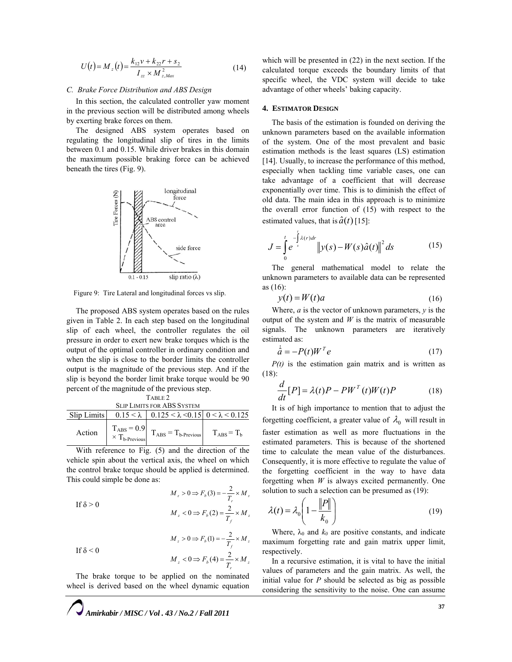$$
U(t) = M_z(t) = \frac{k_{12}v + k_{22}r + s_2}{I_{zz} \times M_{z,Max}^2}
$$
 (14)

#### *C. Brake Force Distribution and ABS Design*

In this section, the calculated controller yaw moment in the previous section will be distributed among wheels by exerting brake forces on them.

The designed ABS system operates based on regulating the longitudinal slip of tires in the limits between 0.1 and 0.15. While driver brakes in this domain the maximum possible braking force can be achieved beneath the tires (Fig. 9).



Figure 9: Tire Lateral and longitudinal forces vs slip.

The proposed ABS system operates based on the rules given in Table 2. In each step based on the longitudinal slip of each wheel, the controller regulates the oil pressure in order to exert new brake torques which is the output of the optimal controller in ordinary condition and when the slip is close to the border limits the controller output is the magnitude of the previous step. And if the slip is beyond the border limit brake torque would be 90 percent of the magnitude of the previous step.

| TABLE 2.                          |  |                                                                                                                                                                                                              |  |
|-----------------------------------|--|--------------------------------------------------------------------------------------------------------------------------------------------------------------------------------------------------------------|--|
| <b>SLIP LIMITS FOR ABS SYSTEM</b> |  |                                                                                                                                                                                                              |  |
|                                   |  | Slip Limits $\begin{array}{ c c c c c c c c } \hline 0.15 & 0.15 & 0.125 & 0.15 & 0 & 0.125 \\ \hline \end{array}$                                                                                           |  |
| Action                            |  | $\left. \begin{array}{lcl} T_{ABS}=0.9\\ \times\ T_{b\text{-Previous}} \end{array} \right  \left. \begin{array}{lcl} T_{ABS}=T_{b\text{-Previous}} \end{array} \right  \left. \quad T_{ABS}=T_b \end{array}$ |  |

TABLE<sup>2</sup>

With reference to Fig. (5) and the direction of the vehicle spin about the vertical axis, the wheel on which the control brake torque should be applied is determined. This could simple be done as:

$$
M_z > 0 \Rightarrow F_b(3) = -\frac{2}{T_r} \times M_z
$$
  
If  $\delta > 0$   

$$
M_z < 0 \Rightarrow F_b(2) = \frac{2}{T_f} \times M_z
$$
  

$$
M_z > 0 \Rightarrow F_b(1) = -\frac{2}{T_f} \times M_z
$$
  
If  $\delta < 0$   

$$
M_z < 0 \Rightarrow F_b(4) = \frac{2}{T_r} \times M_z
$$

The brake torque to be applied on the nominated wheel is derived based on the wheel dynamic equation

which will be presented in (22) in the next section. If the calculated torque exceeds the boundary limits of that specific wheel, the VDC system will decide to take advantage of other wheels' baking capacity.

## **4. ESTIMATOR DESIGN**

The basis of the estimation is founded on deriving the unknown parameters based on the available information of the system. One of the most prevalent and basic estimation methods is the least squares (LS) estimation [14]. Usually, to increase the performance of this method, especially when tackling time variable cases, one can take advantage of a coefficient that will decrease exponentially over time. This is to diminish the effect of old data. The main idea in this approach is to minimize the overall error function of (15) with respect to the estimated values, that is  $\hat{a}(t)$  [15]:

$$
J = \int_{0}^{t} e^{-\int_{s}^{t} \lambda(r) dr} ||y(s) - W(s)\hat{a}(t)||^{2} ds
$$
 (15)

The general mathematical model to relate the unknown parameters to available data can be represented as (16):

$$
y(t) = W(t)a \tag{16}
$$

Where, *a* is the vector of unknown parameters, *y* is the output of the system and  $W$  is the matrix of measurable signals. The unknown parameters are iteratively estimated as:

$$
\dot{\hat{a}} = -P(t)W^T e \tag{17}
$$

*P(t)* is the estimation gain matrix and is written as (18):

$$
\frac{d}{dt}[P] = \lambda(t)P - PW^T(t)W(t)P
$$
\n(18)

It is of high importance to mention that to adjust the forgetting coefficient, a greater value of  $\lambda_0$  will result in faster estimation as well as more fluctuations in the estimated parameters. This is because of the shortened time to calculate the mean value of the disturbances. Consequently, it is more effective to regulate the value of the forgetting coefficient in the way to have data forgetting when *W* is always excited permanently. One solution to such a selection can be presumed as (19):

$$
\lambda(t) = \lambda_0 \left( 1 - \frac{\|P\|}{k_0} \right) \tag{19}
$$

Where,  $\lambda_0$  and  $k_0$  are positive constants, and indicate maximum forgetting rate and gain matrix upper limit, respectively.

In a recursive estimation, it is vital to have the initial values of parameters and the gain matrix. As well, the initial value for *P* should be selected as big as possible considering the sensitivity to the noise. One can assume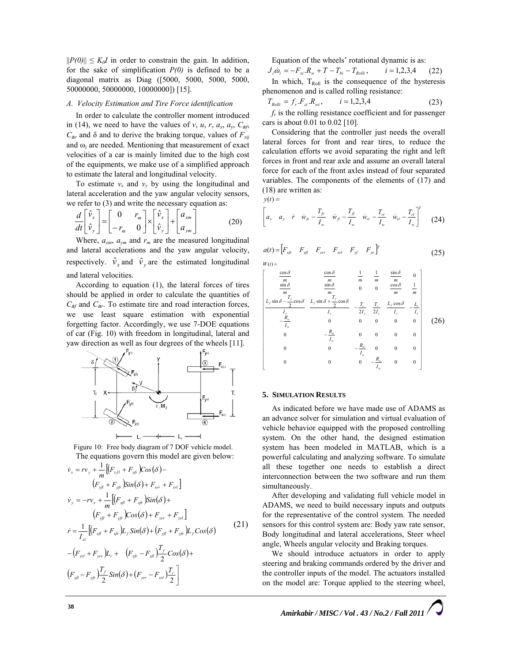$||P(0)|| \leq K_0 I$  in order to constrain the gain. In addition, for the sake of simplification *P(0)* is defined to be a diagonal matrix as Diag ([5000, 5000, 5000, 5000, 50000000, 50000000, 10000000]) [15].

# *A. Velocity Estimation and Tire Force identification*

In order to calculate the controller moment introduced in (14), we need to have the values of *v*, *u*, *r*,  $a_x$ ,  $a_y$ ,  $C_{ab}$  $C_{ar}$  and δ and to derive the braking torque, values of  $F_{xij}$ and  $\omega_i$  are needed. Mentioning that measurement of exact velocities of a car is mainly limited due to the high cost of the equipments, we make use of a simplified approach to estimate the lateral and longitudinal velocity.

To estimate  $v_x$  and  $v_y$  by using the longitudinal and lateral acceleration and the yaw angular velocity sensors, we refer to (3) and write the necessary equation as:

$$
\frac{d}{dt} \begin{bmatrix} \hat{v}_x \\ \hat{v}_y \end{bmatrix} = \begin{bmatrix} 0 & r_m \\ -r_m & 0 \end{bmatrix} \times \begin{bmatrix} \hat{v}_x \\ \hat{v}_y \end{bmatrix} + \begin{bmatrix} a_{xm} \\ a_{ym} \end{bmatrix}
$$
 (20)

Where,  $a_{xm}$ ,  $a_{ym}$  and  $r_m$  are the measured longitudinal and lateral accelerations and the yaw angular velocity, respectively.  $\hat{v}_x$  and  $\hat{v}_y$  are the estimated longitudinal and lateral velocities.

According to equation (1), the lateral forces of tires should be applied in order to calculate the quantities of  $C_{\text{af}}$  and  $C_{\text{ar}}$ . To estimate tire and road interaction forces, we use least square estimation with exponential forgetting factor. Accordingly, we use 7-DOE equations of car (Fig. 10) with freedom in longitudinal, lateral and yaw direction as well as four degrees of the wheels [11].



Figure 10: Free body diagram of 7 DOF vehicle model. The equations govern this model are given below:

$$
\dot{v}_{x} = rv_{y} + \frac{1}{m} \left[ (F_{xfl} + F_{xfr} - \cos(\delta) -
$$
\n
$$
(F_{yfl} + F_{yfr} - \sin(\delta) + F_{xr} + F_{xl}) \right]
$$
\n
$$
\dot{v}_{y} = -rv_{x} + \frac{1}{m} \left[ (F_{xfl} + F_{xfr} - \sin(\delta) +
$$
\n
$$
(F_{yfl} + F_{yfr} - \cos(\delta) + F_{yr} + F_{yl}) \right]
$$
\n
$$
\dot{r} = \frac{1}{I_{zz}} \left[ (F_{xfl} + F_{xfr} - \sin(\delta) + (F_{yfl} + F_{yfr} - \cos(\delta)) -
$$
\n
$$
-(F_{yrl} + F_{yr} - \cos(\delta) + (F_{yfl} - F_{yfr} - \cos(\delta)) +
$$
\n
$$
(21)
$$
\n
$$
F_{yfl} - F_{yr} - \frac{T_f}{2} \sin(\delta) + (F_{xr} - F_{xl}) \frac{T_f}{2}
$$

Equation of the wheels' rotational dynamic is as:

 $J_i \dot{\omega}_i = -F_{xi} R_w + T - T_{bi} - T_{Rolli}$ ,  $i = 1,2,3,4$  (22) In which,  $T_{Roll}$  is the consequence of the hysteresis phenomenon and is called rolling resistance:

$$
T_{Rolli} = f_r.F_{zi}.R_{wi}, \qquad i = 1,2,3,4
$$
 (23)

*fr* is the rolling resistance coefficient and for passenger cars is about 0.01 to 0.02 [10].

Considering that the controller just needs the overall lateral forces for front and rear tires, to reduce the calculation efforts we avoid separating the right and left forces in front and rear axle and assume an overall lateral force for each of the front axles instead of four separated variables. The components of the elements of (17) and (18) are written as:

 $y(t) =$ 

$$
\begin{bmatrix} a_x & a_y & \dot{r} & \dot{w}_{f} - \frac{T_{f}}{I_w} & \dot{w}_{f} - \frac{T_{f}}{I_w} & \dot{w}_{rr} - \frac{T_{rr}}{I_w} & \dot{w}_{rl} - \frac{T_{rl}}{I_w} \end{bmatrix}^T \tag{24}
$$

$$
a(t) = \begin{bmatrix} F_{xf} & F_{xf} & F_{xr} & F_{xr} & F_{yf} & F_{yr} \end{bmatrix}^T
$$
  
W(t) = (25)

$$
\begin{bmatrix}\n\frac{\cos\delta}{m} & \frac{\cos\delta}{m} & \frac{1}{m} & \frac{1}{m} & \frac{\sin\delta}{m} & 0 \\
\frac{\sin\delta}{m} & \frac{\sin\delta}{m} & 0 & 0 & \frac{\cos\delta}{m} & \frac{1}{m} \\
\frac{L_{f}\sin\delta - \frac{T_{f}}{2}\cos\delta}{L_{g}} & \frac{L_{f}\sin\delta + \frac{T_{f}}{2}\cos\delta}{L_{g}} & -\frac{T_{r}}{2L_{g}} & \frac{T_{r}}{2L_{g}} & \frac{L_{f}\cos\delta}{L_{g}} & -\frac{L_{r}}{L_{g}} \\
-\frac{R_{w}}{L_{w}} & 0 & 0 & 0 & 0 & 0 \\
0 & -\frac{R_{w}}{L_{w}} & 0 & 0 & 0 & 0 \\
0 & 0 & -\frac{R_{w}}{L_{w}} & 0 & 0 & 0 \\
0 & 0 & 0 & -\frac{R_{w}}{L_{w}} & 0 & 0 \\
0 & 0 & 0 & -\frac{R_{w}}{L_{w}} & 0 & 0\n\end{bmatrix}
$$
\n(26)

## **5. SIMULATION RESULTS**

As indicated before we have made use of ADAMS as an advance solver for simulation and virtual evaluation of vehicle behavior equipped with the proposed controlling system. On the other hand, the designed estimation system has been modeled in MATLAB, which is a powerful calculating and analyzing software. To simulate all these together one needs to establish a direct interconnection between the two software and run them simultaneously.

After developing and validating full vehicle model in ADAMS, we need to build necessary inputs and outputs for the representative of the control system. The needed sensors for this control system are: Body yaw rate sensor, Body longitudinal and lateral accelerations, Steer wheel angle, Wheels angular velocity and Braking torques.

We should introduce actuators in order to apply steering and braking commands ordered by the driver and the controller inputs of the model. The actuators installed on the model are: Torque applied to the steering wheel,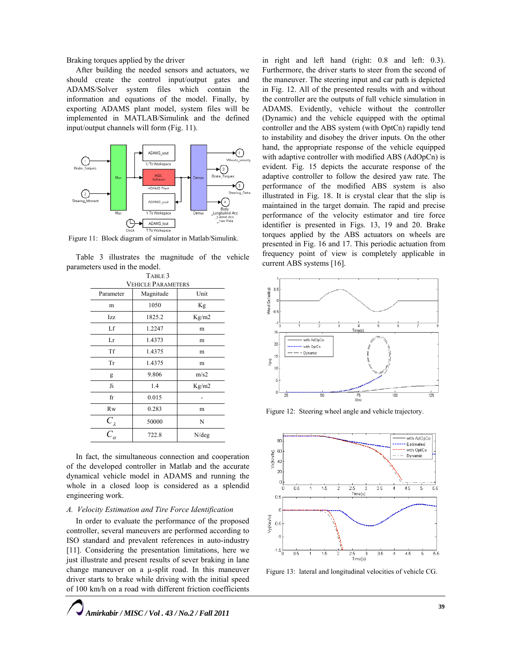Braking torques applied by the driver

After building the needed sensors and actuators, we should create the control input/output gates and ADAMS/Solver system files which contain the information and equations of the model. Finally, by exporting ADAMS plant model, system files will be implemented in MATLAB/Simulink and the defined input/output channels will form (Fig. 11).



Figure 11: Block diagram of simulator in Matlab/Simulink.

Table 3 illustrates the magnitude of the vehicle parameters used in the model.

| TABLE 3                          |           |          |  |
|----------------------------------|-----------|----------|--|
| <b>VEHICLE PARAMETERS</b>        |           |          |  |
| Parameter                        | Magnitude | Unit     |  |
| m                                | 1050      | Kg       |  |
| Izz                              | 1825.2    | Kg/m2    |  |
| Lf                               | 1.2247    | m        |  |
| Lr                               | 1.4373    | m        |  |
| Tf                               | 1.4375    | m        |  |
| Tr                               | 1.4375    | m        |  |
| g                                | 9.806     | m/s2     |  |
| Ji                               | 1.4       | Kg/m2    |  |
| fr                               | 0.015     |          |  |
| <b>Rw</b>                        | 0.283     | m        |  |
|                                  | 50000     | N        |  |
| $\frac{C_{\lambda}}{C_{\alpha}}$ | 722.8     | $N$ /deg |  |

In fact, the simultaneous connection and cooperation of the developed controller in Matlab and the accurate dynamical vehicle model in ADAMS and running the whole in a closed loop is considered as a splendid engineering work.

## *A. Velocity Estimation and Tire Force Identification*

In order to evaluate the performance of the proposed controller, several maneuvers are performed according to ISO standard and prevalent references in auto-industry [11]. Considering the presentation limitations, here we just illustrate and present results of sever braking in lane change maneuver on a µ-split road. In this maneuver driver starts to brake while driving with the initial speed of 100 km/h on a road with different friction coefficients in right and left hand (right: 0.8 and left: 0.3). Furthermore, the driver starts to steer from the second of the maneuver. The steering input and car path is depicted in Fig. 12. All of the presented results with and without the controller are the outputs of full vehicle simulation in ADAMS. Evidently, vehicle without the controller (Dynamic) and the vehicle equipped with the optimal controller and the ABS system (with OptCn) rapidly tend to instability and disobey the driver inputs. On the other hand, the appropriate response of the vehicle equipped with adaptive controller with modified ABS (AdOpCn) is evident. Fig. 15 depicts the accurate response of the adaptive controller to follow the desired yaw rate. The performance of the modified ABS system is also illustrated in Fig. 18. It is crystal clear that the slip is maintained in the target domain. The rapid and precise performance of the velocity estimator and tire force identifier is presented in Figs. 13, 19 and 20. Brake torques applied by the ABS actuators on wheels are presented in Fig. 16 and 17. This periodic actuation from frequency point of view is completely applicable in current ABS systems [16].



Figure 12: Steering wheel angle and vehicle trajectory.



Figure 13: lateral and longitudinal velocities of vehicle CG.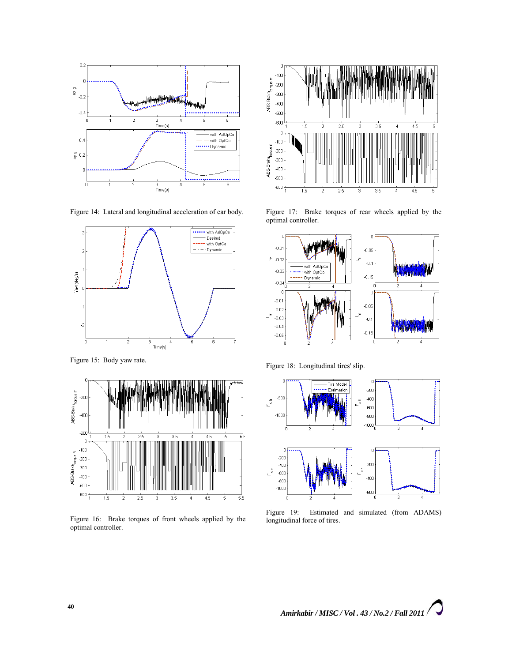





Figure 15: Body yaw rate.



Figure 16: Brake torques of front wheels applied by the optimal controller.



Figure 17: Brake torques of rear wheels applied by the optimal controller.



Figure 18: Longitudinal tires' slip.



Figure 19: Estimated and simulated (from ADAMS) longitudinal force of tires.